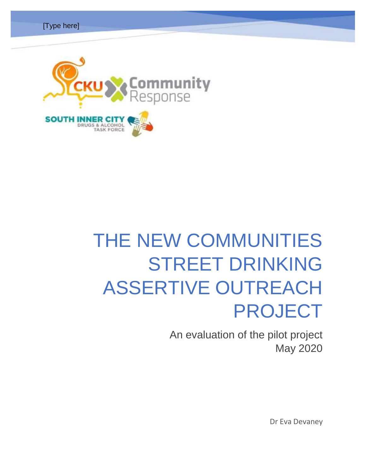



An evaluation of the pilot project May 2020

Dr Eva Devaney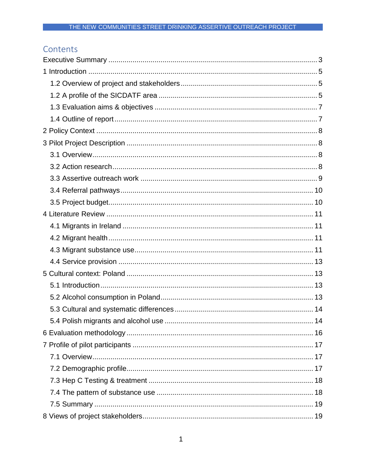# Contents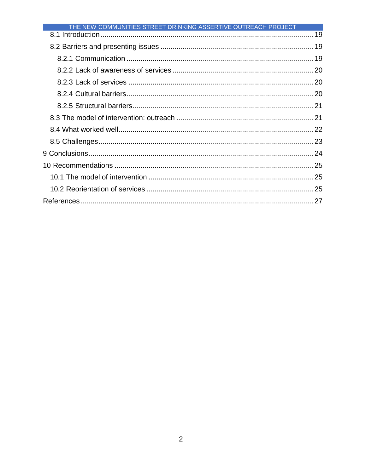| THE NEW COMMUNITIES STREET DRINKING ASSERTIVE OUTREACH PROJECT |  |
|----------------------------------------------------------------|--|
|                                                                |  |
|                                                                |  |
|                                                                |  |
|                                                                |  |
|                                                                |  |
|                                                                |  |
|                                                                |  |
|                                                                |  |
|                                                                |  |
|                                                                |  |
|                                                                |  |
|                                                                |  |
|                                                                |  |
|                                                                |  |
|                                                                |  |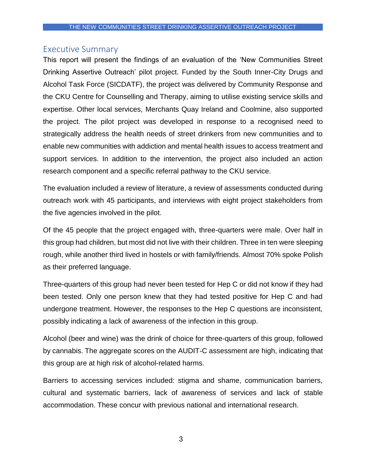# <span id="page-3-0"></span>Executive Summary

This report will present the findings of an evaluation of the 'New Communities Street Drinking Assertive Outreach' pilot project. Funded by the South Inner-City Drugs and Alcohol Task Force (SICDATF), the project was delivered by Community Response and the CKU Centre for Counselling and Therapy, aiming to utilise existing service skills and expertise. Other local services, Merchants Quay Ireland and Coolmine, also supported the project. The pilot project was developed in response to a recognised need to strategically address the health needs of street drinkers from new communities and to enable new communities with addiction and mental health issues to access treatment and support services. In addition to the intervention, the project also included an action research component and a specific referral pathway to the CKU service.

The evaluation included a review of literature, a review of assessments conducted during outreach work with 45 participants, and interviews with eight project stakeholders from the five agencies involved in the pilot.

Of the 45 people that the project engaged with, three-quarters were male. Over half in this group had children, but most did not live with their children. Three in ten were sleeping rough, while another third lived in hostels or with family/friends. Almost 70% spoke Polish as their preferred language.

Three-quarters of this group had never been tested for Hep C or did not know if they had been tested. Only one person knew that they had tested positive for Hep C and had undergone treatment. However, the responses to the Hep C questions are inconsistent, possibly indicating a lack of awareness of the infection in this group.

Alcohol (beer and wine) was the drink of choice for three-quarters of this group, followed by cannabis. The aggregate scores on the AUDIT-C assessment are high, indicating that this group are at high risk of alcohol-related harms.

Barriers to accessing services included: stigma and shame, communication barriers, cultural and systematic barriers, lack of awareness of services and lack of stable accommodation. These concur with previous national and international research.

3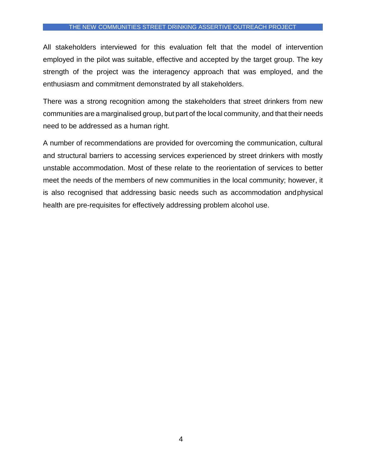All stakeholders interviewed for this evaluation felt that the model of intervention employed in the pilot was suitable, effective and accepted by the target group. The key strength of the project was the interagency approach that was employed, and the enthusiasm and commitment demonstrated by all stakeholders.

There was a strong recognition among the stakeholders that street drinkers from new communities are a marginalised group, but part of the local community, and that their needs need to be addressed as a human right.

A number of recommendations are provided for overcoming the communication, cultural and structural barriers to accessing services experienced by street drinkers with mostly unstable accommodation. Most of these relate to the reorientation of services to better meet the needs of the members of new communities in the local community; however, it is also recognised that addressing basic needs such as accommodation andphysical health are pre-requisites for effectively addressing problem alcohol use.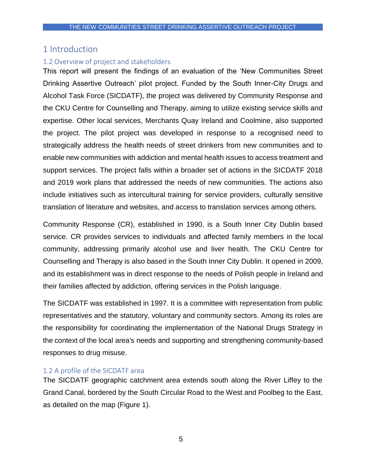## <span id="page-5-0"></span>1 Introduction

#### <span id="page-5-1"></span>1.2 Overview of project and stakeholders

This report will present the findings of an evaluation of the 'New Communities Street Drinking Assertive Outreach' pilot project. Funded by the South Inner-City Drugs and Alcohol Task Force (SICDATF), the project was delivered by Community Response and the CKU Centre for Counselling and Therapy, aiming to utilize existing service skills and expertise. Other local services, Merchants Quay Ireland and Coolmine, also supported the project. The pilot project was developed in response to a recognised need to strategically address the health needs of street drinkers from new communities and to enable new communities with addiction and mental health issues to access treatment and support services. The project falls within a broader set of actions in the SICDATF 2018 and 2019 work plans that addressed the needs of new communities. The actions also include initiatives such as intercultural training for service providers, culturally sensitive translation of literature and websites, and access to translation services among others.

Community Response (CR), established in 1990, is a South Inner City Dublin based service. CR provides services to individuals and affected family members in the local community, addressing primarily alcohol use and liver health. The CKU Centre for Counselling and Therapy is also based in the South Inner City Dublin. It opened in 2009, and its establishment was in direct response to the needs of Polish people in Ireland and their families affected by addiction, offering services in the Polish language.

The SICDATF was established in 1997. It is a committee with representation from public representatives and the statutory, voluntary and community sectors. Among its roles are the responsibility for coordinating the implementation of the National Drugs Strategy in the context of the local area's needs and supporting and strengthening community-based responses to drug misuse.

#### <span id="page-5-2"></span>1.2 A profile of the SICDATF area

The SICDATF geographic catchment area extends south along the River Liffey to the Grand Canal, bordered by the South Circular Road to the West and Poolbeg to the East, as detailed on the map (Figure 1).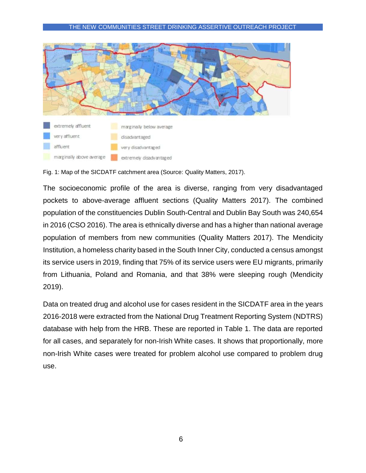

Fig. 1: Map of the SICDATF catchment area (Source: Quality Matters, 2017).

The socioeconomic profile of the area is diverse, ranging from very disadvantaged pockets to above-average affluent sections (Quality Matters 2017). The combined population of the constituencies Dublin South-Central and Dublin Bay South was 240,654 in 2016 (CSO 2016). The area is ethnically diverse and has a higher than national average population of members from new communities (Quality Matters 2017). The Mendicity Institution, a homeless charity based in the South Inner City, conducted a census amongst its service users in 2019, finding that 75% of its service users were EU migrants, primarily from Lithuania, Poland and Romania, and that 38% were sleeping rough (Mendicity 2019).

Data on treated drug and alcohol use for cases resident in the SICDATF area in the years 2016-2018 were extracted from the National Drug Treatment Reporting System (NDTRS) database with help from the HRB. These are reported in Table 1. The data are reported for all cases, and separately for non-Irish White cases. It shows that proportionally, more non-Irish White cases were treated for problem alcohol use compared to problem drug use.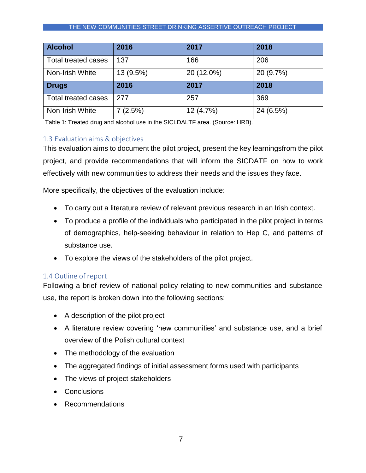| <b>Alcohol</b>             | 2016      | 2017       | 2018      |
|----------------------------|-----------|------------|-----------|
| <b>Total treated cases</b> | 137       | 166        | 206       |
| Non-Irish White            | 13 (9.5%) | 20 (12.0%) | 20 (9.7%) |
| <b>Drugs</b>               | 2016      | 2017       | 2018      |
| <b>Total treated cases</b> | 277       | 257        | 369       |
| Non-Irish White            | 7(2.5%)   | 12 (4.7%)  | 24 (6.5%) |

Table 1: Treated drug and alcohol use in the SICLDALTF area. (Source: HRB).

#### <span id="page-7-0"></span>1.3 Evaluation aims & objectives

This evaluation aims to document the pilot project, present the key learningsfrom the pilot project, and provide recommendations that will inform the SICDATF on how to work effectively with new communities to address their needs and the issues they face.

More specifically, the objectives of the evaluation include:

- To carry out a literature review of relevant previous research in an Irish context.
- To produce a profile of the individuals who participated in the pilot project in terms of demographics, help-seeking behaviour in relation to Hep C, and patterns of substance use.
- To explore the views of the stakeholders of the pilot project.

## <span id="page-7-1"></span>1.4 Outline of report

Following a brief review of national policy relating to new communities and substance use, the report is broken down into the following sections:

- A description of the pilot project
- A literature review covering 'new communities' and substance use, and a brief overview of the Polish cultural context
- The methodology of the evaluation
- The aggregated findings of initial assessment forms used with participants
- The views of project stakeholders
- Conclusions
- Recommendations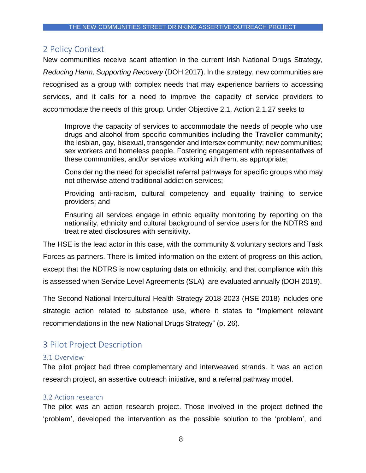# <span id="page-8-0"></span>2 Policy Context

New communities receive scant attention in the current Irish National Drugs Strategy, *Reducing Harm, Supporting Recovery* (DOH 2017). In the strategy, new communities are recognised as a group with complex needs that may experience barriers to accessing services, and it calls for a need to improve the capacity of service providers to accommodate the needs of this group. Under Objective 2.1, Action 2.1.27 seeks to

Improve the capacity of services to accommodate the needs of people who use drugs and alcohol from specific communities including the Traveller community; the lesbian, gay, bisexual, transgender and intersex community; new communities; sex workers and homeless people. Fostering engagement with representatives of these communities, and/or services working with them, as appropriate;

Considering the need for specialist referral pathways for specific groups who may not otherwise attend traditional addiction services;

Providing anti-racism, cultural competency and equality training to service providers; and

Ensuring all services engage in ethnic equality monitoring by reporting on the nationality, ethnicity and cultural background of service users for the NDTRS and treat related disclosures with sensitivity.

The HSE is the lead actor in this case, with the community & voluntary sectors and Task Forces as partners. There is limited information on the extent of progress on this action, except that the NDTRS is now capturing data on ethnicity, and that compliance with this is assessed when Service Level Agreements (SLA) are evaluated annually (DOH 2019).

The Second National Intercultural Health Strategy 2018-2023 (HSE 2018) includes one strategic action related to substance use, where it states to "Implement relevant recommendations in the new National Drugs Strategy" (p. 26).

# <span id="page-8-1"></span>3 Pilot Project Description

#### <span id="page-8-2"></span>3.1 Overview

The pilot project had three complementary and interweaved strands. It was an action research project, an assertive outreach initiative, and a referral pathway model.

#### <span id="page-8-3"></span>3.2 Action research

The pilot was an action research project. Those involved in the project defined the 'problem', developed the intervention as the possible solution to the 'problem', and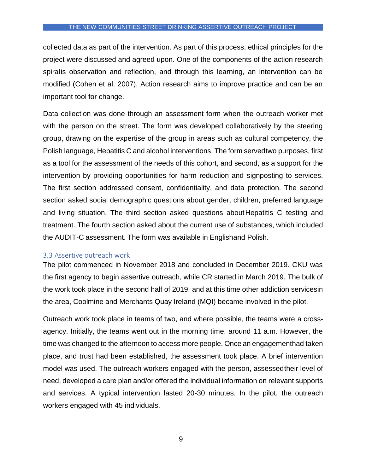collected data as part of the intervention. As part of this process, ethical principles for the project were discussed and agreed upon. One of the components of the action research spiralis observation and reflection, and through this learning, an intervention can be modified (Cohen et al. 2007). Action research aims to improve practice and can be an important tool for change.

Data collection was done through an assessment form when the outreach worker met with the person on the street. The form was developed collaboratively by the steering group, drawing on the expertise of the group in areas such as cultural competency, the Polish language, Hepatitis C and alcohol interventions. The form servedtwo purposes, first as a tool for the assessment of the needs of this cohort, and second, as a support for the intervention by providing opportunities for harm reduction and signposting to services. The first section addressed consent, confidentiality, and data protection. The second section asked social demographic questions about gender, children, preferred language and living situation. The third section asked questions aboutHepatitis C testing and treatment. The fourth section asked about the current use of substances, which included the AUDIT-C assessment. The form was available in Englishand Polish.

#### <span id="page-9-0"></span>3.3 Assertive outreach work

The pilot commenced in November 2018 and concluded in December 2019. CKU was the first agency to begin assertive outreach, while CR started in March 2019. The bulk of the work took place in the second half of 2019, and at this time other addiction servicesin the area, Coolmine and Merchants Quay Ireland (MQI) became involved in the pilot.

Outreach work took place in teams of two, and where possible, the teams were a crossagency. Initially, the teams went out in the morning time, around 11 a.m. However, the time was changed to the afternoon to access more people. Once an engagementhad taken place, and trust had been established, the assessment took place. A brief intervention model was used. The outreach workers engaged with the person, assessedtheir level of need, developed a care plan and/or offered the individual information on relevant supports and services. A typical intervention lasted 20-30 minutes. In the pilot, the outreach workers engaged with 45 individuals.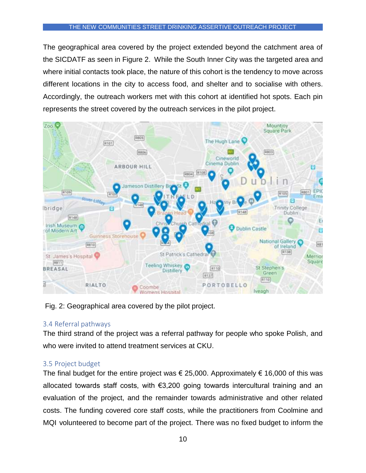The geographical area covered by the project extended beyond the catchment area of the SICDATF as seen in Figure 2. While the South Inner City was the targeted area and where initial contacts took place, the nature of this cohort is the tendency to move across different locations in the city to access food, and shelter and to socialise with others. Accordingly, the outreach workers met with this cohort at identified hot spots. Each pin represents the street covered by the outreach services in the pilot project.



Fig. 2: Geographical area covered by the pilot project.

## <span id="page-10-0"></span>3.4 Referral pathways

The third strand of the project was a referral pathway for people who spoke Polish, and who were invited to attend treatment services at CKU.

## <span id="page-10-1"></span>3.5 Project budget

The final budget for the entire project was  $\epsilon$  25,000. Approximately  $\epsilon$  16,000 of this was allocated towards staff costs, with €3,200 going towards intercultural training and an evaluation of the project, and the remainder towards administrative and other related costs. The funding covered core staff costs, while the practitioners from Coolmine and MQI volunteered to become part of the project. There was no fixed budget to inform the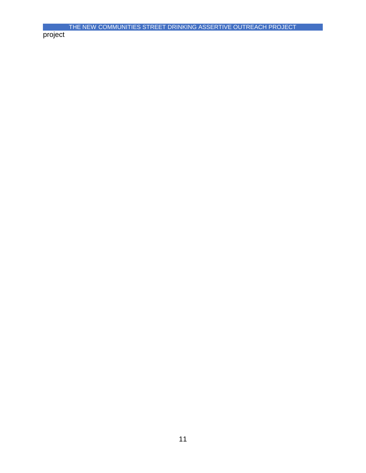project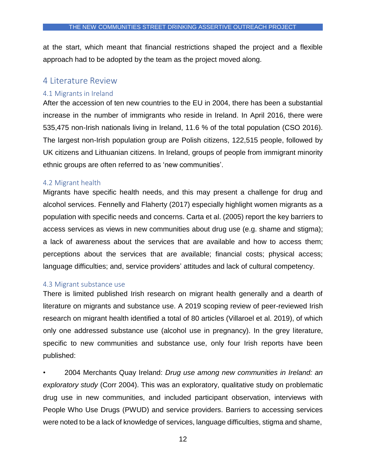at the start, which meant that financial restrictions shaped the project and a flexible approach had to be adopted by the team as the project moved along.

## <span id="page-12-0"></span>4 Literature Review

#### <span id="page-12-1"></span>4.1 Migrants in Ireland

After the accession of ten new countries to the EU in 2004, there has been a substantial increase in the number of immigrants who reside in Ireland. In April 2016, there were 535,475 non-Irish nationals living in Ireland, 11.6 % of the total population (CSO 2016). The largest non-Irish population group are Polish citizens, 122,515 people, followed by UK citizens and Lithuanian citizens. In Ireland, groups of people from immigrant minority ethnic groups are often referred to as 'new communities'.

#### <span id="page-12-2"></span>4.2 Migrant health

Migrants have specific health needs, and this may present a challenge for drug and alcohol services. Fennelly and Flaherty (2017) especially highlight women migrants as a population with specific needs and concerns. Carta et al. (2005) report the key barriers to access services as views in new communities about drug use (e.g. shame and stigma); a lack of awareness about the services that are available and how to access them; perceptions about the services that are available; financial costs; physical access; language difficulties; and, service providers' attitudes and lack of cultural competency.

#### <span id="page-12-3"></span>4.3 Migrant substance use

There is limited published Irish research on migrant health generally and a dearth of literature on migrants and substance use. A 2019 scoping review of peer-reviewed Irish research on migrant health identified a total of 80 articles (Villaroel et al. 2019), of which only one addressed substance use (alcohol use in pregnancy). In the grey literature, specific to new communities and substance use, only four Irish reports have been published:

• 2004 Merchants Quay Ireland: *Drug use among new communities in Ireland: an exploratory study* (Corr 2004). This was an exploratory, qualitative study on problematic drug use in new communities, and included participant observation, interviews with People Who Use Drugs (PWUD) and service providers. Barriers to accessing services were noted to be a lack of knowledge of services, language difficulties, stigma and shame,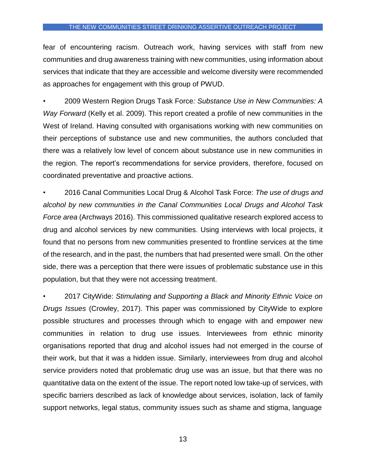fear of encountering racism. Outreach work, having services with staff from new communities and drug awareness training with new communities, using information about services that indicate that they are accessible and welcome diversity were recommended as approaches for engagement with this group of PWUD.

• 2009 Western Region Drugs Task Force*: Substance Use in New Communities: A Way Forward* (Kelly et al. 2009). This report created a profile of new communities in the West of Ireland. Having consulted with organisations working with new communities on their perceptions of substance use and new communities, the authors concluded that there was a relatively low level of concern about substance use in new communities in the region. The report's recommendations for service providers, therefore, focused on coordinated preventative and proactive actions.

• 2016 Canal Communities Local Drug & Alcohol Task Force: *The use of drugs and alcohol by new communities in the Canal Communities Local Drugs and Alcohol Task Force area* (Archways 2016). This commissioned qualitative research explored access to drug and alcohol services by new communities. Using interviews with local projects, it found that no persons from new communities presented to frontline services at the time of the research, and in the past, the numbers that had presented were small. On the other side, there was a perception that there were issues of problematic substance use in this population, but that they were not accessing treatment.

• 2017 CityWide: *Stimulating and Supporting a Black and Minority Ethnic Voice on Drugs Issues* (Crowley, 2017). This paper was commissioned by CityWide to explore possible structures and processes through which to engage with and empower new communities in relation to drug use issues. Interviewees from ethnic minority organisations reported that drug and alcohol issues had not emerged in the course of their work, but that it was a hidden issue. Similarly, interviewees from drug and alcohol service providers noted that problematic drug use was an issue, but that there was no quantitative data on the extent of the issue. The report noted low take-up of services, with specific barriers described as lack of knowledge about services, isolation, lack of family support networks, legal status, community issues such as shame and stigma, language

13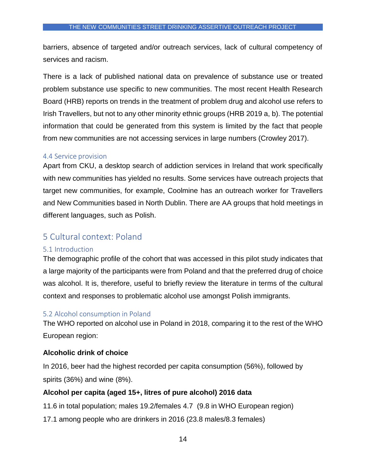barriers, absence of targeted and/or outreach services, lack of cultural competency of services and racism.

There is a lack of published national data on prevalence of substance use or treated problem substance use specific to new communities. The most recent Health Research Board (HRB) reports on trends in the treatment of problem drug and alcohol use refers to Irish Travellers, but not to any other minority ethnic groups (HRB 2019 a, b). The potential information that could be generated from this system is limited by the fact that people from new communities are not accessing services in large numbers (Crowley 2017).

#### <span id="page-14-0"></span>4.4 Service provision

Apart from CKU, a desktop search of addiction services in Ireland that work specifically with new communities has yielded no results. Some services have outreach projects that target new communities, for example, Coolmine has an outreach worker for Travellers and New Communities based in North Dublin. There are AA groups that hold meetings in different languages, such as Polish.

# <span id="page-14-1"></span>5 Cultural context: Poland

#### <span id="page-14-2"></span>5.1 Introduction

The demographic profile of the cohort that was accessed in this pilot study indicates that a large majority of the participants were from Poland and that the preferred drug of choice was alcohol. It is, therefore, useful to briefly review the literature in terms of the cultural context and responses to problematic alcohol use amongst Polish immigrants.

## <span id="page-14-3"></span>5.2 Alcohol consumption in Poland

The WHO reported on alcohol use in Poland in 2018, comparing it to the rest of the WHO European region:

## **Alcoholic drink of choice**

In 2016, beer had the highest recorded per capita consumption (56%), followed by spirits (36%) and wine (8%).

## **Alcohol per capita (aged 15+, litres of pure alcohol) 2016 data**

- 11.6 in total population; males 19.2/females 4.7 (9.8 in WHO European region)
- 17.1 among people who are drinkers in 2016 (23.8 males/8.3 females)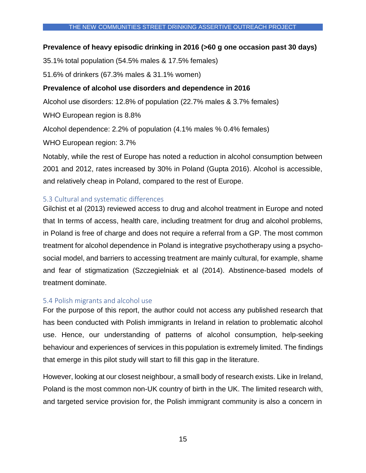#### **Prevalence of heavy episodic drinking in 2016 (>60 g one occasion past 30 days)**

35.1% total population (54.5% males & 17.5% females)

51.6% of drinkers (67.3% males & 31.1% women)

## **Prevalence of alcohol use disorders and dependence in 2016**

Alcohol use disorders: 12.8% of population (22.7% males & 3.7% females)

WHO European region is 8.8%

Alcohol dependence: 2.2% of population (4.1% males % 0.4% females)

WHO European region: 3.7%

Notably, while the rest of Europe has noted a reduction in alcohol consumption between 2001 and 2012, rates increased by 30% in Poland (Gupta 2016). Alcohol is accessible, and relatively cheap in Poland, compared to the rest of Europe.

## <span id="page-15-0"></span>5.3 Cultural and systematic differences

Gilchist et al (2013) reviewed access to drug and alcohol treatment in Europe and noted that In terms of access, health care, including treatment for drug and alcohol problems, in Poland is free of charge and does not require a referral from a GP. The most common treatment for alcohol dependence in Poland is integrative psychotherapy using a psychosocial model, and barriers to accessing treatment are mainly cultural, for example, shame and fear of stigmatization (Szczegielniak et al (2014). Abstinence-based models of treatment dominate.

## <span id="page-15-1"></span>5.4 Polish migrants and alcohol use

For the purpose of this report, the author could not access any published research that has been conducted with Polish immigrants in Ireland in relation to problematic alcohol use. Hence, our understanding of patterns of alcohol consumption, help-seeking behaviour and experiences of services in this population is extremely limited. The findings that emerge in this pilot study will start to fill this gap in the literature.

However, looking at our closest neighbour, a small body of research exists. Like in Ireland, Poland is the most common non-UK country of birth in the UK. The limited research with, and targeted service provision for, the Polish immigrant community is also a concern in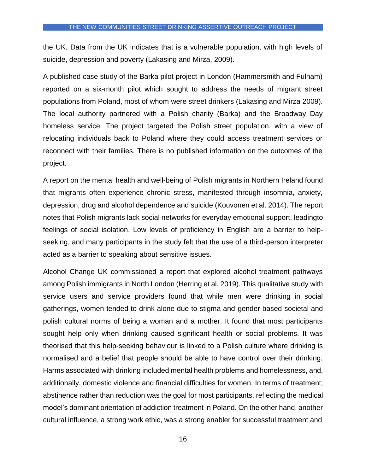the UK. Data from the UK indicates that is a vulnerable population, with high levels of suicide, depression and poverty (Lakasing and Mirza, 2009).

A published case study of the Barka pilot project in London (Hammersmith and Fulham) reported on a six-month pilot which sought to address the needs of migrant street populations from Poland, most of whom were street drinkers (Lakasing and Mirza 2009). The local authority partnered with a Polish charity (Barka) and the Broadway Day homeless service. The project targeted the Polish street population, with a view of relocating individuals back to Poland where they could access treatment services or reconnect with their families. There is no published information on the outcomes of the project.

A report on the mental health and well-being of Polish migrants in Northern Ireland found that migrants often experience chronic stress, manifested through insomnia, anxiety, depression, drug and alcohol dependence and suicide (Kouvonen et al. 2014). The report notes that Polish migrants lack social networks for everyday emotional support, leadingto feelings of social isolation. Low levels of proficiency in English are a barrier to helpseeking, and many participants in the study felt that the use of a third-person interpreter acted as a barrier to speaking about sensitive issues.

Alcohol Change UK commissioned a report that explored alcohol treatment pathways among Polish immigrants in North London (Herring et al. 2019). This qualitative study with service users and service providers found that while men were drinking in social gatherings, women tended to drink alone due to stigma and gender-based societal and polish cultural norms of being a woman and a mother. It found that most participants sought help only when drinking caused significant health or social problems. It was theorised that this help-seeking behaviour is linked to a Polish culture where drinking is normalised and a belief that people should be able to have control over their drinking. Harms associated with drinking included mental health problems and homelessness, and, additionally, domestic violence and financial difficulties for women. In terms of treatment, abstinence rather than reduction was the goal for most participants, reflecting the medical model's dominant orientation of addiction treatment in Poland. On the other hand, another cultural influence, a strong work ethic, was a strong enabler for successful treatment and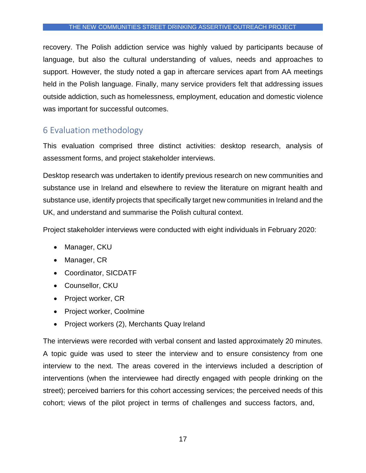recovery. The Polish addiction service was highly valued by participants because of language, but also the cultural understanding of values, needs and approaches to support. However, the study noted a gap in aftercare services apart from AA meetings held in the Polish language. Finally, many service providers felt that addressing issues outside addiction, such as homelessness, employment, education and domestic violence was important for successful outcomes.

# <span id="page-17-0"></span>6 Evaluation methodology

This evaluation comprised three distinct activities: desktop research, analysis of assessment forms, and project stakeholder interviews.

Desktop research was undertaken to identify previous research on new communities and substance use in Ireland and elsewhere to review the literature on migrant health and substance use, identify projects that specifically target new communities in Ireland and the UK, and understand and summarise the Polish cultural context.

Project stakeholder interviews were conducted with eight individuals in February 2020:

- Manager, CKU
- Manager, CR
- Coordinator, SICDATF
- Counsellor, CKU
- Project worker, CR
- Project worker, Coolmine
- Project workers (2), Merchants Quay Ireland

The interviews were recorded with verbal consent and lasted approximately 20 minutes. A topic guide was used to steer the interview and to ensure consistency from one interview to the next. The areas covered in the interviews included a description of interventions (when the interviewee had directly engaged with people drinking on the street); perceived barriers for this cohort accessing services; the perceived needs of this cohort; views of the pilot project in terms of challenges and success factors, and,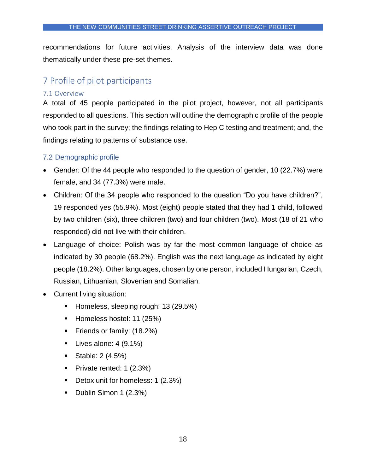recommendations for future activities. Analysis of the interview data was done thematically under these pre-set themes.

# <span id="page-18-0"></span>7 Profile of pilot participants

#### <span id="page-18-1"></span>7.1 Overview

A total of 45 people participated in the pilot project, however, not all participants responded to all questions. This section will outline the demographic profile of the people who took part in the survey; the findings relating to Hep C testing and treatment; and, the findings relating to patterns of substance use.

## <span id="page-18-2"></span>7.2 Demographic profile

- Gender: Of the 44 people who responded to the question of gender, 10 (22.7%) were female, and 34 (77.3%) were male.
- Children: Of the 34 people who responded to the question "Do you have children?", 19 responded yes (55.9%). Most (eight) people stated that they had 1 child, followed by two children (six), three children (two) and four children (two). Most (18 of 21 who responded) did not live with their children.
- Language of choice: Polish was by far the most common language of choice as indicated by 30 people (68.2%). English was the next language as indicated by eight people (18.2%). Other languages, chosen by one person, included Hungarian, Czech, Russian, Lithuanian, Slovenian and Somalian.
- Current living situation:
	- Homeless, sleeping rough: 13 (29.5%)
	- Homeless hostel: 11 (25%)
	- **Firical Stramary: (18.2%)**
	- $\blacksquare$  Lives alone: 4 (9.1%)
	- Stable:  $2(4.5%)$
	- Private rented: 1 (2.3%)
	- **Detox unit for homeless: 1 (2.3%)**
	- Dublin Simon 1 (2.3%)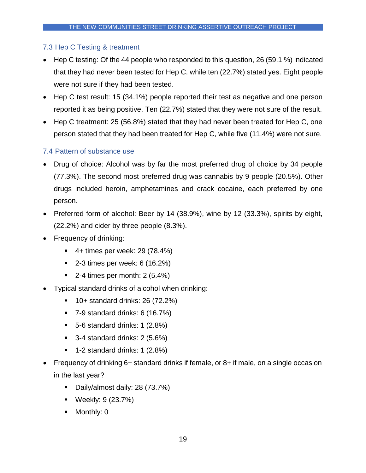## <span id="page-19-0"></span>7.3 Hep C Testing & treatment

- Hep C testing: Of the 44 people who responded to this question, 26 (59.1 %) indicated that they had never been tested for Hep C. while ten (22.7%) stated yes. Eight people were not sure if they had been tested.
- Hep C test result: 15 (34.1%) people reported their test as negative and one person reported it as being positive. Ten (22.7%) stated that they were not sure of the result.
- Hep C treatment: 25 (56.8%) stated that they had never been treated for Hep C, one person stated that they had been treated for Hep C, while five (11.4%) were not sure.

## <span id="page-19-1"></span>7.4 Pattern of substance use

- Drug of choice: Alcohol was by far the most preferred drug of choice by 34 people (77.3%). The second most preferred drug was cannabis by 9 people (20.5%). Other drugs included heroin, amphetamines and crack cocaine, each preferred by one person.
- Preferred form of alcohol: Beer by 14 (38.9%), wine by 12 (33.3%), spirits by eight, (22.2%) and cider by three people (8.3%).
- Frequency of drinking:
	- $\blacksquare$  4+ times per week: 29 (78.4%)
	- $\blacksquare$  2-3 times per week: 6 (16.2%)
	- $\blacksquare$  2-4 times per month: 2 (5.4%)
- Typical standard drinks of alcohol when drinking:
	- 10+ standard drinks: 26 (72.2%)
	- $\blacksquare$  7-9 standard drinks: 6 (16.7%)
	- $\blacksquare$  5-6 standard drinks: 1 (2.8%)
	- $\blacksquare$  3-4 standard drinks: 2 (5.6%)
	- $\blacksquare$  1-2 standard drinks: 1 (2.8%)
- Frequency of drinking 6+ standard drinks if female, or 8+ if male, on a single occasion in the last year?
	- Daily/almost daily: 28 (73.7%)
	- Weekly: 9 (23.7%)
	- Monthly: 0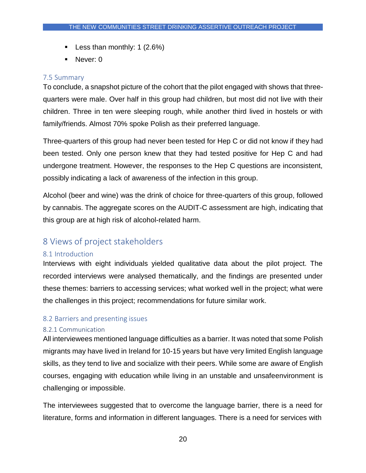- **Less than monthly: 1 (2.6%)**
- Never: 0

#### <span id="page-20-0"></span>7.5 Summary

To conclude, a snapshot picture of the cohort that the pilot engaged with shows that threequarters were male. Over half in this group had children, but most did not live with their children. Three in ten were sleeping rough, while another third lived in hostels or with family/friends. Almost 70% spoke Polish as their preferred language.

Three-quarters of this group had never been tested for Hep C or did not know if they had been tested. Only one person knew that they had tested positive for Hep C and had undergone treatment. However, the responses to the Hep C questions are inconsistent, possibly indicating a lack of awareness of the infection in this group.

Alcohol (beer and wine) was the drink of choice for three-quarters of this group, followed by cannabis. The aggregate scores on the AUDIT-C assessment are high, indicating that this group are at high risk of alcohol-related harm.

# <span id="page-20-1"></span>8 Views of project stakeholders

## <span id="page-20-2"></span>8.1 Introduction

Interviews with eight individuals yielded qualitative data about the pilot project. The recorded interviews were analysed thematically, and the findings are presented under these themes: barriers to accessing services; what worked well in the project; what were the challenges in this project; recommendations for future similar work.

#### <span id="page-20-3"></span>8.2 Barriers and presenting issues

#### <span id="page-20-4"></span>8.2.1 Communication

All interviewees mentioned language difficulties as a barrier. It was noted that some Polish migrants may have lived in Ireland for 10-15 years but have very limited English language skills, as they tend to live and socialize with their peers. While some are aware of English courses, engaging with education while living in an unstable and unsafeenvironment is challenging or impossible.

The interviewees suggested that to overcome the language barrier, there is a need for literature, forms and information in different languages. There is a need for services with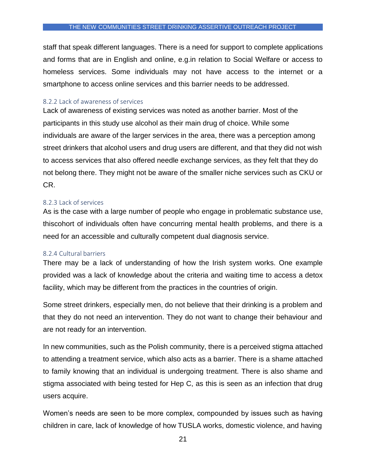staff that speak different languages. There is a need for support to complete applications and forms that are in English and online, e.g.in relation to Social Welfare or access to homeless services. Some individuals may not have access to the internet or a smartphone to access online services and this barrier needs to be addressed.

#### <span id="page-21-0"></span>8.2.2 Lack of awareness of services

Lack of awareness of existing services was noted as another barrier. Most of the participants in this study use alcohol as their main drug of choice. While some individuals are aware of the larger services in the area, there was a perception among street drinkers that alcohol users and drug users are different, and that they did not wish to access services that also offered needle exchange services, as they felt that they do not belong there. They might not be aware of the smaller niche services such as CKU or CR.

#### <span id="page-21-1"></span>8.2.3 Lack of services

As is the case with a large number of people who engage in problematic substance use, thiscohort of individuals often have concurring mental health problems, and there is a need for an accessible and culturally competent dual diagnosis service.

#### <span id="page-21-2"></span>8.2.4 Cultural barriers

There may be a lack of understanding of how the Irish system works. One example provided was a lack of knowledge about the criteria and waiting time to access a detox facility, which may be different from the practices in the countries of origin.

Some street drinkers, especially men, do not believe that their drinking is a problem and that they do not need an intervention. They do not want to change their behaviour and are not ready for an intervention.

In new communities, such as the Polish community, there is a perceived stigma attached to attending a treatment service, which also acts as a barrier. There is a shame attached to family knowing that an individual is undergoing treatment. There is also shame and stigma associated with being tested for Hep C, as this is seen as an infection that drug users acquire.

Women's needs are seen to be more complex, compounded by issues such as having children in care, lack of knowledge of how TUSLA works, domestic violence, and having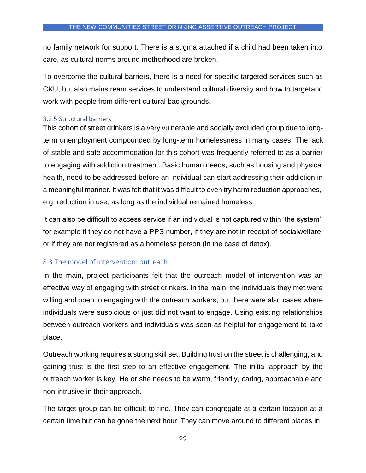no family network for support. There is a stigma attached if a child had been taken into care, as cultural norms around motherhood are broken.

To overcome the cultural barriers, there is a need for specific targeted services such as CKU, but also mainstream services to understand cultural diversity and how to targetand work with people from different cultural backgrounds.

#### <span id="page-22-0"></span>8.2.5 Structural barriers

This cohort of street drinkers is a very vulnerable and socially excluded group due to longterm unemployment compounded by long-term homelessness in many cases. The lack of stable and safe accommodation for this cohort was frequently referred to as a barrier to engaging with addiction treatment. Basic human needs, such as housing and physical health, need to be addressed before an individual can start addressing their addiction in a meaningful manner. It was felt that it was difficult to even try harm reduction approaches, e.g. reduction in use, as long as the individual remained homeless.

It can also be difficult to access service if an individual is not captured within 'the system'; for example if they do not have a PPS number, if they are not in receipt of socialwelfare, or if they are not registered as a homeless person (in the case of detox).

## <span id="page-22-1"></span>8.3 The model of intervention: outreach

In the main, project participants felt that the outreach model of intervention was an effective way of engaging with street drinkers. In the main, the individuals they met were willing and open to engaging with the outreach workers, but there were also cases where individuals were suspicious or just did not want to engage. Using existing relationships between outreach workers and individuals was seen as helpful for engagement to take place.

Outreach working requires a strong skill set. Building trust on the street is challenging, and gaining trust is the first step to an effective engagement. The initial approach by the outreach worker is key. He or she needs to be warm, friendly, caring, approachable and non-intrusive in their approach.

The target group can be difficult to find. They can congregate at a certain location at a certain time but can be gone the next hour. They can move around to different places in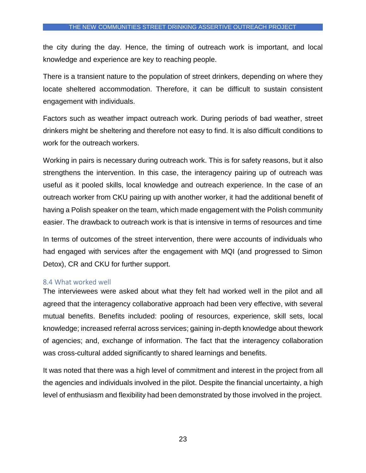the city during the day. Hence, the timing of outreach work is important, and local knowledge and experience are key to reaching people.

There is a transient nature to the population of street drinkers, depending on where they locate sheltered accommodation. Therefore, it can be difficult to sustain consistent engagement with individuals.

Factors such as weather impact outreach work. During periods of bad weather, street drinkers might be sheltering and therefore not easy to find. It is also difficult conditions to work for the outreach workers.

Working in pairs is necessary during outreach work. This is for safety reasons, but it also strengthens the intervention. In this case, the interagency pairing up of outreach was useful as it pooled skills, local knowledge and outreach experience. In the case of an outreach worker from CKU pairing up with another worker, it had the additional benefit of having a Polish speaker on the team, which made engagement with the Polish community easier. The drawback to outreach work is that is intensive in terms of resources and time

In terms of outcomes of the street intervention, there were accounts of individuals who had engaged with services after the engagement with MQI (and progressed to Simon Detox), CR and CKU for further support.

#### <span id="page-23-0"></span>8.4 What worked well

The interviewees were asked about what they felt had worked well in the pilot and all agreed that the interagency collaborative approach had been very effective, with several mutual benefits. Benefits included: pooling of resources, experience, skill sets, local knowledge; increased referral across services; gaining in-depth knowledge about thework of agencies; and, exchange of information. The fact that the interagency collaboration was cross-cultural added significantly to shared learnings and benefits.

It was noted that there was a high level of commitment and interest in the project from all the agencies and individuals involved in the pilot. Despite the financial uncertainty, a high level of enthusiasm and flexibility had been demonstrated by those involved in the project.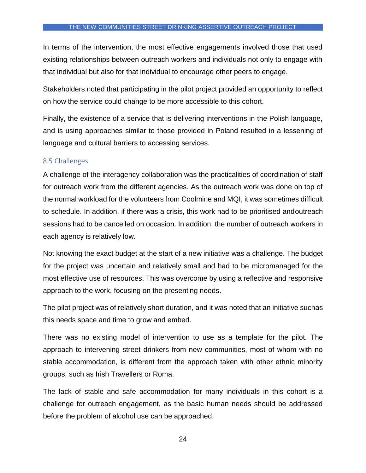In terms of the intervention, the most effective engagements involved those that used existing relationships between outreach workers and individuals not only to engage with that individual but also for that individual to encourage other peers to engage.

Stakeholders noted that participating in the pilot project provided an opportunity to reflect on how the service could change to be more accessible to this cohort.

Finally, the existence of a service that is delivering interventions in the Polish language, and is using approaches similar to those provided in Poland resulted in a lessening of language and cultural barriers to accessing services.

#### <span id="page-24-0"></span>8.5 Challenges

A challenge of the interagency collaboration was the practicalities of coordination of staff for outreach work from the different agencies. As the outreach work was done on top of the normal workload for the volunteers from Coolmine and MQI, it was sometimes difficult to schedule. In addition, if there was a crisis, this work had to be prioritised andoutreach sessions had to be cancelled on occasion. In addition, the number of outreach workers in each agency is relatively low.

Not knowing the exact budget at the start of a new initiative was a challenge. The budget for the project was uncertain and relatively small and had to be micromanaged for the most effective use of resources. This was overcome by using a reflective and responsive approach to the work, focusing on the presenting needs.

The pilot project was of relatively short duration, and it was noted that an initiative suchas this needs space and time to grow and embed.

There was no existing model of intervention to use as a template for the pilot. The approach to intervening street drinkers from new communities, most of whom with no stable accommodation, is different from the approach taken with other ethnic minority groups, such as Irish Travellers or Roma.

The lack of stable and safe accommodation for many individuals in this cohort is a challenge for outreach engagement, as the basic human needs should be addressed before the problem of alcohol use can be approached.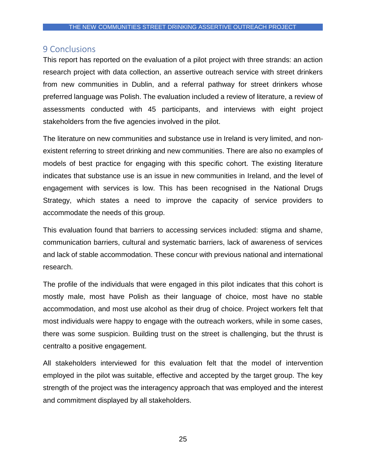## <span id="page-25-0"></span>9 Conclusions

This report has reported on the evaluation of a pilot project with three strands: an action research project with data collection, an assertive outreach service with street drinkers from new communities in Dublin, and a referral pathway for street drinkers whose preferred language was Polish. The evaluation included a review of literature, a review of assessments conducted with 45 participants, and interviews with eight project stakeholders from the five agencies involved in the pilot.

The literature on new communities and substance use in Ireland is very limited, and nonexistent referring to street drinking and new communities. There are also no examples of models of best practice for engaging with this specific cohort. The existing literature indicates that substance use is an issue in new communities in Ireland, and the level of engagement with services is low. This has been recognised in the National Drugs Strategy, which states a need to improve the capacity of service providers to accommodate the needs of this group.

This evaluation found that barriers to accessing services included: stigma and shame, communication barriers, cultural and systematic barriers, lack of awareness of services and lack of stable accommodation. These concur with previous national and international research.

The profile of the individuals that were engaged in this pilot indicates that this cohort is mostly male, most have Polish as their language of choice, most have no stable accommodation, and most use alcohol as their drug of choice. Project workers felt that most individuals were happy to engage with the outreach workers, while in some cases, there was some suspicion. Building trust on the street is challenging, but the thrust is centralto a positive engagement.

All stakeholders interviewed for this evaluation felt that the model of intervention employed in the pilot was suitable, effective and accepted by the target group. The key strength of the project was the interagency approach that was employed and the interest and commitment displayed by all stakeholders.

25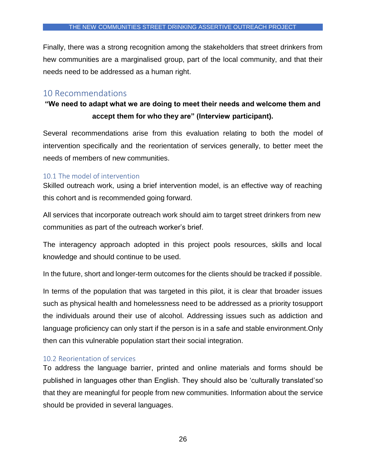Finally, there was a strong recognition among the stakeholders that street drinkers from hew communities are a marginalised group, part of the local community, and that their needs need to be addressed as a human right.

# <span id="page-26-0"></span>10 Recommendations

# **"We need to adapt what we are doing to meet their needs and welcome them and accept them for who they are" (Interview participant).**

Several recommendations arise from this evaluation relating to both the model of intervention specifically and the reorientation of services generally, to better meet the needs of members of new communities.

#### <span id="page-26-1"></span>10.1 The model of intervention

Skilled outreach work, using a brief intervention model, is an effective way of reaching this cohort and is recommended going forward.

All services that incorporate outreach work should aim to target street drinkers from new communities as part of the outreach worker's brief.

The interagency approach adopted in this project pools resources, skills and local knowledge and should continue to be used.

In the future, short and longer-term outcomes for the clients should be tracked if possible.

In terms of the population that was targeted in this pilot, it is clear that broader issues such as physical health and homelessness need to be addressed as a priority tosupport the individuals around their use of alcohol. Addressing issues such as addiction and language proficiency can only start if the person is in a safe and stable environment.Only then can this vulnerable population start their social integration.

## <span id="page-26-2"></span>10.2 Reorientation of services

To address the language barrier, printed and online materials and forms should be published in languages other than English. They should also be 'culturally translated'so that they are meaningful for people from new communities. Information about the service should be provided in several languages.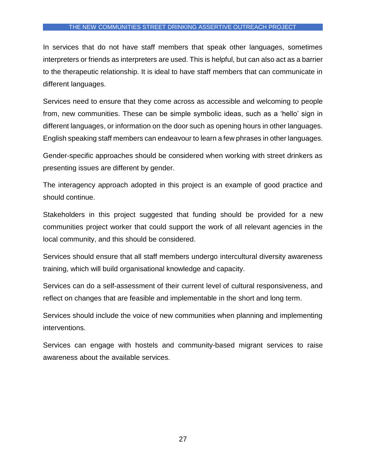In services that do not have staff members that speak other languages, sometimes interpreters or friends as interpreters are used. This is helpful, but can also act as a barrier to the therapeutic relationship. It is ideal to have staff members that can communicate in different languages.

Services need to ensure that they come across as accessible and welcoming to people from, new communities. These can be simple symbolic ideas, such as a 'hello' sign in different languages, or information on the door such as opening hours in other languages. English speaking staff members can endeavour to learn a few phrases in other languages.

Gender-specific approaches should be considered when working with street drinkers as presenting issues are different by gender.

The interagency approach adopted in this project is an example of good practice and should continue.

Stakeholders in this project suggested that funding should be provided for a new communities project worker that could support the work of all relevant agencies in the local community, and this should be considered.

Services should ensure that all staff members undergo intercultural diversity awareness training, which will build organisational knowledge and capacity.

Services can do a self-assessment of their current level of cultural responsiveness, and reflect on changes that are feasible and implementable in the short and long term.

Services should include the voice of new communities when planning and implementing interventions.

Services can engage with hostels and community-based migrant services to raise awareness about the available services.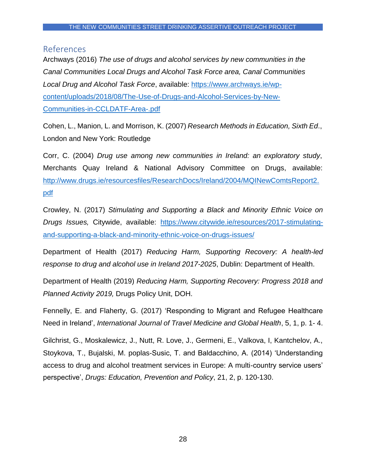## <span id="page-28-0"></span>References

Archways (2016) *The use of drugs and alcohol services by new communities in the Canal Communities Local Drugs and Alcohol Task Force area, Canal Communities Local Drug and Alcohol Task Force*, available: [https://www.archways.ie/wp](https://www.archways.ie/wp-content/uploads/2018/08/The-Use-of-Drugs-and-Alcohol-Services-by-New-Communities-in-CCLDATF-Area-.pdf)[content/uploads/2018/08/The-Use-of-Drugs-and-Alcohol-Services-by-New-](https://www.archways.ie/wp-content/uploads/2018/08/The-Use-of-Drugs-and-Alcohol-Services-by-New-Communities-in-CCLDATF-Area-.pdf)[Communities-in-CCLDATF-Area-.pdf](https://www.archways.ie/wp-content/uploads/2018/08/The-Use-of-Drugs-and-Alcohol-Services-by-New-Communities-in-CCLDATF-Area-.pdf)

Cohen, L., Manion, L. and Morrison, K. (2007) *Research Methods in Education, Sixth Ed*., London and New York: Routledge

Corr, C. (2004) *Drug use among new communities in Ireland: an exploratory study*, Merchants Quay Ireland & National Advisory Committee on Drugs, available: [http://www.drugs.ie/resourcesfiles/ResearchDocs/Ireland/2004/MQINewComtsReport2.](http://www.drugs.ie/resourcesfiles/ResearchDocs/Ireland/2004/MQINewComtsReport2.pdf) [pdf](http://www.drugs.ie/resourcesfiles/ResearchDocs/Ireland/2004/MQINewComtsReport2.pdf)

Crowley, N. (2017) *Stimulating and Supporting a Black and Minority Ethnic Voice on Drugs Issues,* Citywide, available: [https://www.citywide.ie/resources/2017-stimulating](https://www.citywide.ie/resources/2017-stimulating-and-supporting-a-black-and-minority-ethnic-voice-on-drugs-issues/)[and-supporting-a-black-and-minority-ethnic-voice-on-drugs-issues/](https://www.citywide.ie/resources/2017-stimulating-and-supporting-a-black-and-minority-ethnic-voice-on-drugs-issues/)

Department of Health (2017) *Reducing Harm, Supporting Recovery: A health-led response to drug and alcohol use in Ireland 2017-2025*, Dublin: Department of Health.

Department of Health (2019) *Reducing Harm, Supporting Recovery: Progress 2018 and Planned Activity 2019,* Drugs Policy Unit, DOH.

Fennelly, E. and Flaherty, G. (2017) 'Responding to Migrant and Refugee Healthcare Need in Ireland', *International Journal of Travel Medicine and Global Health*, 5, 1, p. 1- 4.

Gilchrist, G., Moskalewicz, J., Nutt, R. Love, J., Germeni, E., Valkova, I, Kantchelov, A., Stoykova, T., Bujalski, M. poplas-Susic, T. and Baldacchino, A. (2014) 'Understanding access to drug and alcohol treatment services in Europe: A multi-country service users' perspective', *Drugs: Education, Prevention and Policy*, 21, 2, p. 120-130.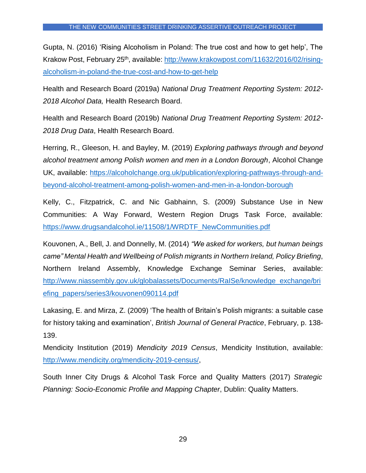Gupta, N. (2016) 'Rising Alcoholism in Poland: The true cost and how to get help', The Krakow Post, February 25<sup>th</sup>, available: [http://www.krakowpost.com/11632/2016/02/rising](http://www.krakowpost.com/11632/2016/02/rising-alcoholism-in-poland-the-true-cost-and-how-to-get-help)[alcoholism-in-poland-the-true-cost-and-how-to-get-help](http://www.krakowpost.com/11632/2016/02/rising-alcoholism-in-poland-the-true-cost-and-how-to-get-help)

Health and Research Board (2019a) *National Drug Treatment Reporting System: 2012- 2018 Alcohol Data,* Health Research Board.

Health and Research Board (2019b) *National Drug Treatment Reporting System: 2012- 2018 Drug Data*, Health Research Board.

Herring, R., Gleeson, H. and Bayley, M. (2019) *Exploring pathways through and beyond alcohol treatment among Polish women and men in a London Borough*, Alcohol Change UK, available: [https://alcoholchange.org.uk/publication/exploring-pathways-through-and](https://alcoholchange.org.uk/publication/exploring-pathways-through-and-beyond-alcohol-treatment-among-polish-women-and-men-in-a-london-borough)[beyond-alcohol-treatment-among-polish-women-and-men-in-a-london-borough](https://alcoholchange.org.uk/publication/exploring-pathways-through-and-beyond-alcohol-treatment-among-polish-women-and-men-in-a-london-borough)

Kelly, C., Fitzpatrick, C. and Nic Gabhainn, S. (2009) Substance Use in New Communities: A Way Forward, Western Region Drugs Task Force, available: [https://www.drugsandalcohol.ie/11508/1/WRDTF\\_NewCommunities.pdf](https://www.drugsandalcohol.ie/11508/1/WRDTF_NewCommunities.pdf)

Kouvonen, A., Bell, J. and Donnelly, M. (2014) *"We asked for workers, but human beings came" Mental Health and Wellbeing of Polish migrants in Northern Ireland, Policy Briefing*, Northern Ireland Assembly, Knowledge Exchange Seminar Series, available: [http://www.niassembly.gov.uk/globalassets/Documents/RaISe/knowledge\\_exchange/bri](http://www.niassembly.gov.uk/globalassets/Documents/RaISe/knowledge_exchange/briefing_papers/series3/kouvonen090114.pdf) [efing\\_papers/series3/kouvonen090114.pdf](http://www.niassembly.gov.uk/globalassets/Documents/RaISe/knowledge_exchange/briefing_papers/series3/kouvonen090114.pdf)

Lakasing, E. and Mirza, Z. (2009) 'The health of Britain's Polish migrants: a suitable case for history taking and examination', *British Journal of General Practice*, February, p. 138- 139.

Mendicity Institution (2019) *Mendicity 2019 Census*, Mendicity Institution, available: [http://www.mendicity.org/mendicity-2019-census/,](http://www.mendicity.org/mendicity-2019-census/)

South Inner City Drugs & Alcohol Task Force and Quality Matters (2017) *Strategic Planning: Socio-Economic Profile and Mapping Chapter*, Dublin: Quality Matters.